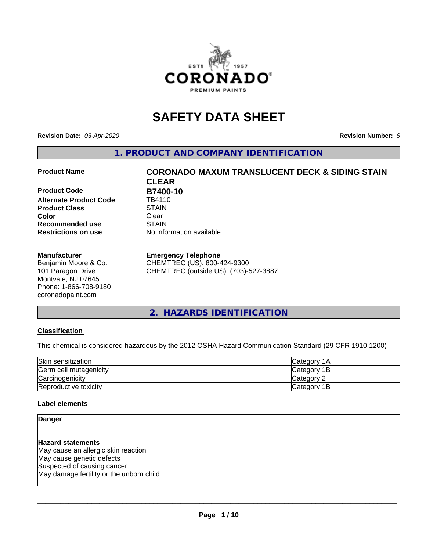

# **SAFETY DATA SHEET**

**Revision Date:** *03-Apr-2020* **Revision Number:** *6*

**1. PRODUCT AND COMPANY IDENTIFICATION**

**Product Code B7400-10**<br>Alternate Product Code TB4110 **Alternate Product Code Product Class STAIN STAIN**<br> **Color** Clear **Color** Clear Clear **Recommended use STAIN Restrictions on use** No information available

#### **Manufacturer**

Benjamin Moore & Co. 101 Paragon Drive Montvale, NJ 07645 Phone: 1-866-708-9180 coronadopaint.com

# **Product Name CORONADO MAXUM TRANSLUCENT DECK & SIDING STAIN CLEAR**

**Emergency Telephone**

CHEMTREC (US): 800-424-9300 CHEMTREC (outside US): (703)-527-3887

#### **2. HAZARDS IDENTIFICATION**

#### **Classification**

This chemical is considered hazardous by the 2012 OSHA Hazard Communication Standard (29 CFR 1910.1200)

| Skin sensitization     | lCategory 1A |
|------------------------|--------------|
| Germ cell mutagenicity | Category 1B  |
| Carcinogenicity        | Category 2   |
| Reproductive toxicity  | Category 1B  |

#### **Label elements**

#### **Danger**

**Hazard statements** May cause an allergic skin reaction May cause genetic defects Suspected of causing cancer May damage fertility or the unborn child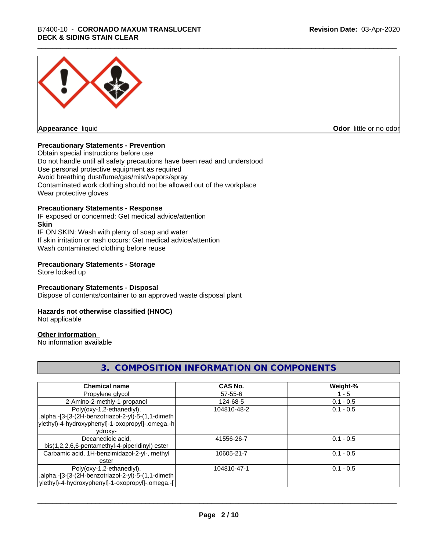## \_\_\_\_\_\_\_\_\_\_\_\_\_\_\_\_\_\_\_\_\_\_\_\_\_\_\_\_\_\_\_\_\_\_\_\_\_\_\_\_\_\_\_\_\_\_\_\_\_\_\_\_\_\_\_\_\_\_\_\_\_\_\_\_\_\_\_\_\_\_\_\_\_\_\_\_\_\_\_\_\_\_\_\_\_\_\_\_\_\_\_\_\_ B7400-10 - **CORONADO MAXUM TRANSLUCENT DECK & SIDING STAIN CLEAR**



**Appearance** liquid

**Odor** little or no odor

#### **Precautionary Statements - Prevention**

Obtain special instructions before use Do not handle until all safety precautions have been read and understood Use personal protective equipment as required Avoid breathing dust/fume/gas/mist/vapors/spray Contaminated work clothing should not be allowed out of the workplace Wear protective gloves

#### **Precautionary Statements - Response**

IF exposed or concerned: Get medical advice/attention **Skin** IF ON SKIN: Wash with plenty of soap and water If skin irritation or rash occurs: Get medical advice/attention Wash contaminated clothing before reuse

#### **Precautionary Statements - Storage**

Store locked up

#### **Precautionary Statements - Disposal**

Dispose of contents/container to an approved waste disposal plant

#### **Hazards not otherwise classified (HNOC)**

Not applicable

#### **Other information**

No information available

#### **3. COMPOSITION INFORMATION ON COMPONENTS**

| <b>Chemical name</b>                               | <b>CAS No.</b> | Weight-%    |
|----------------------------------------------------|----------------|-------------|
| Propylene glycol                                   | $57 - 55 - 6$  | - 5         |
| 2-Amino-2-methly-1-propanol                        | 124-68-5       | $0.1 - 0.5$ |
| Poly(oxy-1,2-ethanediyl),                          | 104810-48-2    | $0.1 - 0.5$ |
| .alpha.-[3-[3-(2H-benzotriazol-2-yl)-5-(1,1-dimeth |                |             |
| ylethyl)-4-hydroxyphenyl]-1-oxopropyl]-.omega.-h   |                |             |
| ydroxy-                                            |                |             |
| Decanedioic acid,                                  | 41556-26-7     | $0.1 - 0.5$ |
| bis(1,2,2,6,6-pentamethyl-4-piperidinyl) ester     |                |             |
| Carbamic acid, 1H-benzimidazol-2-yl-, methyl       | 10605-21-7     | $0.1 - 0.5$ |
| ester                                              |                |             |
| Poly(oxy-1,2-ethanediyl),                          | 104810-47-1    | $0.1 - 0.5$ |
| .alpha.-[3-[3-(2H-benzotriazol-2-yl)-5-(1,1-dimeth |                |             |
| ylethyl)-4-hydroxyphenyl]-1-oxopropyl]-.omega.-[   |                |             |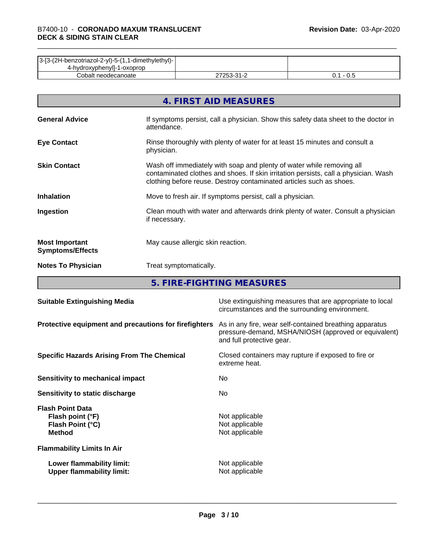| 3-[3-(2H-benzotriazol-2-yl)-5-(1,1-dimethylethyl)- |            |     |
|----------------------------------------------------|------------|-----|
| 4-hydroxyphenyll-1-oxoprop                         |            |     |
| Cobalt neodecanoate                                | 27253-31-2 | v.J |

|                                                  | 4. FIRST AID MEASURES                                                                                                                                                                                                               |
|--------------------------------------------------|-------------------------------------------------------------------------------------------------------------------------------------------------------------------------------------------------------------------------------------|
| <b>General Advice</b>                            | If symptoms persist, call a physician. Show this safety data sheet to the doctor in<br>attendance.                                                                                                                                  |
| <b>Eye Contact</b>                               | Rinse thoroughly with plenty of water for at least 15 minutes and consult a<br>physician.                                                                                                                                           |
| <b>Skin Contact</b>                              | Wash off immediately with soap and plenty of water while removing all<br>contaminated clothes and shoes. If skin irritation persists, call a physician. Wash<br>clothing before reuse. Destroy contaminated articles such as shoes. |
| <b>Inhalation</b>                                | Move to fresh air. If symptoms persist, call a physician.                                                                                                                                                                           |
| Ingestion                                        | Clean mouth with water and afterwards drink plenty of water. Consult a physician<br>if necessary.                                                                                                                                   |
| <b>Most Important</b><br><b>Symptoms/Effects</b> | May cause allergic skin reaction.                                                                                                                                                                                                   |
| <b>Notes To Physician</b>                        | Treat symptomatically.                                                                                                                                                                                                              |

**5. FIRE-FIGHTING MEASURES**

| <b>Suitable Extinguishing Media</b>                                              | Use extinguishing measures that are appropriate to local<br>circumstances and the surrounding environment.                                   |
|----------------------------------------------------------------------------------|----------------------------------------------------------------------------------------------------------------------------------------------|
| Protective equipment and precautions for firefighters                            | As in any fire, wear self-contained breathing apparatus<br>pressure-demand, MSHA/NIOSH (approved or equivalent)<br>and full protective gear. |
| <b>Specific Hazards Arising From The Chemical</b>                                | Closed containers may rupture if exposed to fire or<br>extreme heat.                                                                         |
| Sensitivity to mechanical impact                                                 | No.                                                                                                                                          |
| Sensitivity to static discharge                                                  | No.                                                                                                                                          |
| <b>Flash Point Data</b><br>Flash point (°F)<br>Flash Point (°C)<br><b>Method</b> | Not applicable<br>Not applicable<br>Not applicable                                                                                           |
| <b>Flammability Limits In Air</b>                                                |                                                                                                                                              |
| Lower flammability limit:<br><b>Upper flammability limit:</b>                    | Not applicable<br>Not applicable                                                                                                             |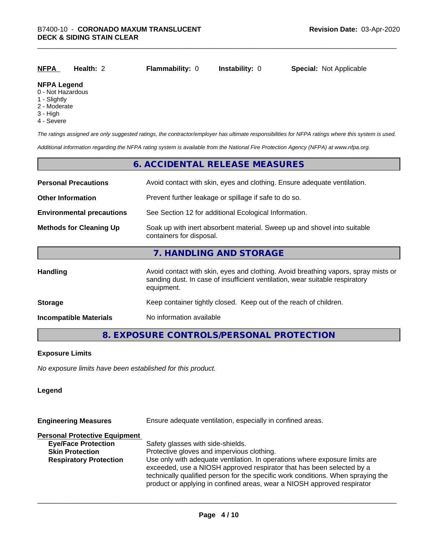| <u>NFPA</u>        | Health: $2$ | <b>Flammability: 0</b> | <b>Instability: 0</b> | <b>Special: Not Applicable</b> |
|--------------------|-------------|------------------------|-----------------------|--------------------------------|
| <b>NFPA Legend</b> |             |                        |                       |                                |

#### 0 - Not Hazardous

- 1 Slightly
- 2 Moderate
- 3 High
- 4 Severe

*The ratings assigned are only suggested ratings, the contractor/employer has ultimate responsibilities for NFPA ratings where this system is used.*

*Additional information regarding the NFPA rating system is available from the National Fire Protection Agency (NFPA) at www.nfpa.org.*

#### **6. ACCIDENTAL RELEASE MEASURES**

| <b>Personal Precautions</b>      | Avoid contact with skin, eyes and clothing. Ensure adequate ventilation.                                                                                                         |  |  |
|----------------------------------|----------------------------------------------------------------------------------------------------------------------------------------------------------------------------------|--|--|
| <b>Other Information</b>         | Prevent further leakage or spillage if safe to do so.                                                                                                                            |  |  |
| <b>Environmental precautions</b> | See Section 12 for additional Ecological Information.                                                                                                                            |  |  |
| <b>Methods for Cleaning Up</b>   | Soak up with inert absorbent material. Sweep up and shovel into suitable<br>containers for disposal.                                                                             |  |  |
|                                  | 7. HANDLING AND STORAGE                                                                                                                                                          |  |  |
| <b>Handling</b>                  | Avoid contact with skin, eyes and clothing. Avoid breathing vapors, spray mists or<br>sanding dust. In case of insufficient ventilation, wear suitable respiratory<br>equipment. |  |  |
| <b>Storage</b>                   | Keep container tightly closed. Keep out of the reach of children.                                                                                                                |  |  |
| <b>Incompatible Materials</b>    | No information available                                                                                                                                                         |  |  |

#### **8. EXPOSURE CONTROLS/PERSONAL PROTECTION**

#### **Exposure Limits**

*No exposure limits have been established for this product.*

#### **Legend**

| <b>Engineering Measures</b>          | Ensure adequate ventilation, especially in confined areas.                                                                                                                                                                                                                                                          |  |  |
|--------------------------------------|---------------------------------------------------------------------------------------------------------------------------------------------------------------------------------------------------------------------------------------------------------------------------------------------------------------------|--|--|
| <b>Personal Protective Equipment</b> |                                                                                                                                                                                                                                                                                                                     |  |  |
| <b>Eye/Face Protection</b>           | Safety glasses with side-shields.                                                                                                                                                                                                                                                                                   |  |  |
| <b>Skin Protection</b>               | Protective gloves and impervious clothing.                                                                                                                                                                                                                                                                          |  |  |
| <b>Respiratory Protection</b>        | Use only with adequate ventilation. In operations where exposure limits are<br>exceeded, use a NIOSH approved respirator that has been selected by a<br>technically qualified person for the specific work conditions. When spraying the<br>product or applying in confined areas, wear a NIOSH approved respirator |  |  |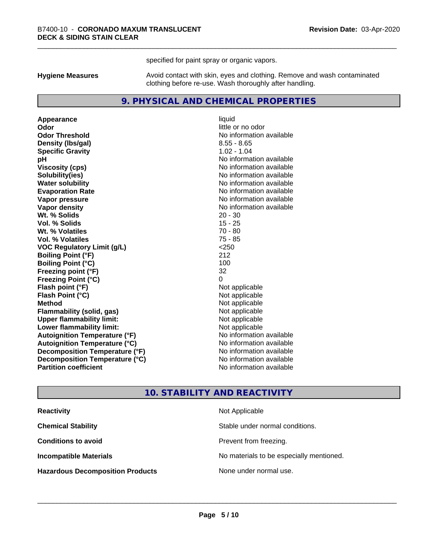specified for paint spray or organic vapors.

**Hygiene Measures** Avoid contact with skin, eyes and clothing. Remove and wash contaminated clothing before re-use. Wash thoroughly after handling.

#### **9. PHYSICAL AND CHEMICAL PROPERTIES**

**Appearance** liquid **Odor** little or no odor **Odor Threshold** No information available **Density (Ibs/gal)** 8.55 - 8.65 **Specific Gravity** 1.02 - 1.04 **pH** No information available **Viscosity (cps)** No information available **Solubility(ies)** No information available **Evaporation Rate No information available No information available Vapor pressure** No information available **Vapor density No information available No** information available **Wt. % Solids** 20 - 30 **Vol. % Solids** 15 - 25 **Wt. % Volatiles** 70 - 80 **Vol. % Volatiles** 75 - 85<br> **VOC Requiatory Limit (q/L)** 250 **VOC** Regulatory Limit (g/L) **Boiling Point (°F)** 212 **Boiling Point (°C)** 100 **Freezing point (°F)** 32 **Freezing Point (°C)**<br> **Flash point (°F)**<br> **Flash point (°F)**<br> **Point (°F)**<br> **Point (°F)**<br> **Point (°F)**<br> **Point (°F)**<br> **Point (°F) Flash point (°F)**<br> **Flash Point (°C)**<br> **Flash Point (°C)**<br> **C Flash Point (°C) Method** Not applicable **Flammability (solid, gas)** Not applicable<br> **Upper flammability limit:** Not applicable **Upper flammability limit: Lower flammability limit:**<br> **Autoignition Temperature (°F)** Not applicable havailable available **Autoignition Temperature (°F) Autoignition Temperature (°C)** No information available **Decomposition Temperature (°F)** No information available **Decomposition Temperature (°C)** No information available **Partition coefficient Contract Contract Contract Contract Contract Contract Contract Contract Contract Contract Contract Contract Contract Contract Contract Contract Contract Contract Contract Contract Contract Contract** 

**No information available** 

#### **10. STABILITY AND REACTIVITY**

| <b>Reactivity</b>                       | Not Applicable                           |
|-----------------------------------------|------------------------------------------|
| <b>Chemical Stability</b>               | Stable under normal conditions.          |
| <b>Conditions to avoid</b>              | Prevent from freezing.                   |
| <b>Incompatible Materials</b>           | No materials to be especially mentioned. |
| <b>Hazardous Decomposition Products</b> | None under normal use.                   |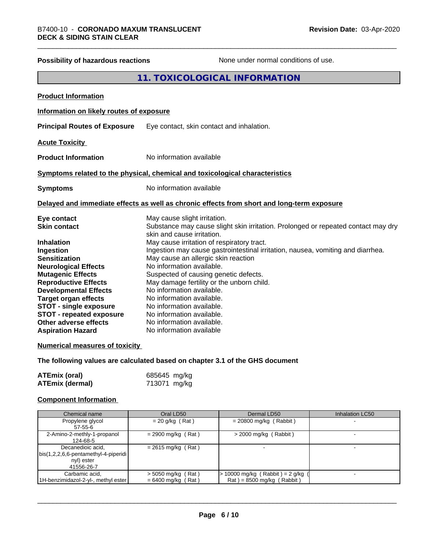## **Possibility of hazardous reactions** None under normal conditions of use.

## **11. TOXICOLOGICAL INFORMATION**

| <b>Product Information</b>                                                                                                                                                                                                                                                                                                                                                     |                                                                                                                                                                                                                                                                                                                                                                                                                                                                                                                                                                                                                         |
|--------------------------------------------------------------------------------------------------------------------------------------------------------------------------------------------------------------------------------------------------------------------------------------------------------------------------------------------------------------------------------|-------------------------------------------------------------------------------------------------------------------------------------------------------------------------------------------------------------------------------------------------------------------------------------------------------------------------------------------------------------------------------------------------------------------------------------------------------------------------------------------------------------------------------------------------------------------------------------------------------------------------|
| Information on likely routes of exposure                                                                                                                                                                                                                                                                                                                                       |                                                                                                                                                                                                                                                                                                                                                                                                                                                                                                                                                                                                                         |
| <b>Principal Routes of Exposure</b>                                                                                                                                                                                                                                                                                                                                            | Eye contact, skin contact and inhalation.                                                                                                                                                                                                                                                                                                                                                                                                                                                                                                                                                                               |
| <b>Acute Toxicity</b>                                                                                                                                                                                                                                                                                                                                                          |                                                                                                                                                                                                                                                                                                                                                                                                                                                                                                                                                                                                                         |
| <b>Product Information</b>                                                                                                                                                                                                                                                                                                                                                     | No information available                                                                                                                                                                                                                                                                                                                                                                                                                                                                                                                                                                                                |
|                                                                                                                                                                                                                                                                                                                                                                                | Symptoms related to the physical, chemical and toxicological characteristics                                                                                                                                                                                                                                                                                                                                                                                                                                                                                                                                            |
| <b>Symptoms</b>                                                                                                                                                                                                                                                                                                                                                                | No information available                                                                                                                                                                                                                                                                                                                                                                                                                                                                                                                                                                                                |
|                                                                                                                                                                                                                                                                                                                                                                                | Delayed and immediate effects as well as chronic effects from short and long-term exposure                                                                                                                                                                                                                                                                                                                                                                                                                                                                                                                              |
| Eye contact<br><b>Skin contact</b><br><b>Inhalation</b><br>Ingestion<br><b>Sensitization</b><br><b>Neurological Effects</b><br><b>Mutagenic Effects</b><br><b>Reproductive Effects</b><br><b>Developmental Effects</b><br><b>Target organ effects</b><br><b>STOT - single exposure</b><br><b>STOT - repeated exposure</b><br>Other adverse effects<br><b>Aspiration Hazard</b> | May cause slight irritation.<br>Substance may cause slight skin irritation. Prolonged or repeated contact may dry<br>skin and cause irritation.<br>May cause irritation of respiratory tract.<br>Ingestion may cause gastrointestinal irritation, nausea, vomiting and diarrhea.<br>May cause an allergic skin reaction<br>No information available.<br>Suspected of causing genetic defects.<br>May damage fertility or the unborn child.<br>No information available.<br>No information available.<br>No information available.<br>No information available.<br>No information available.<br>No information available |
| <b>Numerical measures of toxicity</b>                                                                                                                                                                                                                                                                                                                                          |                                                                                                                                                                                                                                                                                                                                                                                                                                                                                                                                                                                                                         |
|                                                                                                                                                                                                                                                                                                                                                                                | The following values are calculated based on chapter 3.1 of the GHS document                                                                                                                                                                                                                                                                                                                                                                                                                                                                                                                                            |
| <b>ATEmix (oral)</b><br><b>ATEmix (dermal)</b>                                                                                                                                                                                                                                                                                                                                 | 685645 mg/kg<br>713071 mg/kg                                                                                                                                                                                                                                                                                                                                                                                                                                                                                                                                                                                            |

#### **Component Information**

| Chemical name                                | Oral LD50            | Dermal LD50                           | Inhalation LC50 |
|----------------------------------------------|----------------------|---------------------------------------|-----------------|
| Propylene glycol                             | $= 20$ g/kg (Rat)    | $= 20800$ mg/kg (Rabbit)              |                 |
| $57 - 55 - 6$                                |                      |                                       |                 |
| 2-Amino-2-methly-1-propanol                  | $= 2900$ mg/kg (Rat) | $>$ 2000 mg/kg (Rabbit)               |                 |
| 124-68-5                                     |                      |                                       |                 |
| Decanedioic acid,                            | $= 2615$ mg/kg (Rat) |                                       |                 |
| $\vert$ bis(1,2,2,6,6-pentamethyl-4-piperidi |                      |                                       |                 |
| nyl) ester                                   |                      |                                       |                 |
| 41556-26-7                                   |                      |                                       |                 |
| Carbamic acid,                               | $>$ 5050 mg/kg (Rat) | $\cdot$ 10000 mg/kg (Rabbit) = 2 g/kg |                 |
| 1H-benzimidazol-2-yl-, methyl ester          | $= 6400$ mg/kg (Rat) | $Rat$ = 8500 mg/kg (Rabbit)           |                 |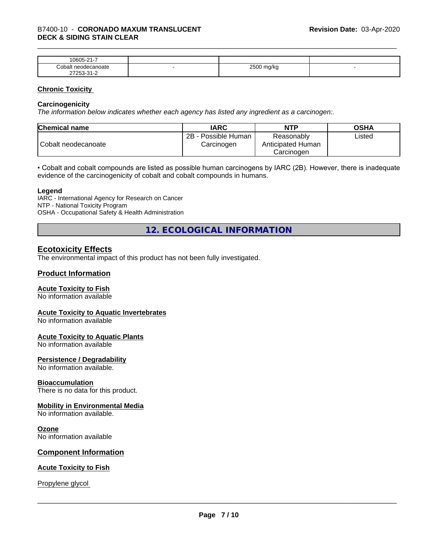| $\sim$<br>$\sim$ $\sim$ $\sim$<br>-<br>۱۲۱۱۰<br>.<br>. .                  |   |                        |  |
|---------------------------------------------------------------------------|---|------------------------|--|
| `∩h⊾<br>าoate                                                             | - | 0.500<br>W<br>- -<br>ີ |  |
| $\sim$<br>- ה<br>$ -$<br>$\sim$ $\sim$ $\sim$ $\sim$ $\sim$ $\sim$ $\sim$ |   |                        |  |

#### **Chronic Toxicity**

#### **Carcinogenicity**

*The information below indicateswhether each agency has listed any ingredient as a carcinogen:.*

| <b>Chemical name</b> | <b>IARC</b>                          | <b>NTP</b>                                    | <b>OSHA</b> |
|----------------------|--------------------------------------|-----------------------------------------------|-------------|
| Cobalt neodecanoate  | 2B<br>- Possible Human<br>Carcinogen | Reasonably<br>Anticipated Human<br>Carcinoɑen | ∟isted      |

• Cobalt and cobalt compounds are listed as possible human carcinogens by IARC (2B). However, there is inadequate evidence of the carcinogenicity of cobalt and cobalt compounds in humans.

#### **Legend**

IARC - International Agency for Research on Cancer NTP - National Toxicity Program OSHA - Occupational Safety & Health Administration

**12. ECOLOGICAL INFORMATION**

#### **Ecotoxicity Effects**

The environmental impact of this product has not been fully investigated.

#### **Product Information**

#### **Acute Toxicity to Fish**

No information available

#### **Acute Toxicity to Aquatic Invertebrates**

No information available

#### **Acute Toxicity to Aquatic Plants**

No information available

#### **Persistence / Degradability**

No information available.

#### **Bioaccumulation**

There is no data for this product.

#### **Mobility in Environmental Media**

No information available.

#### **Ozone**

No information available

#### **Component Information**

#### **Acute Toxicity to Fish**

Propylene glycol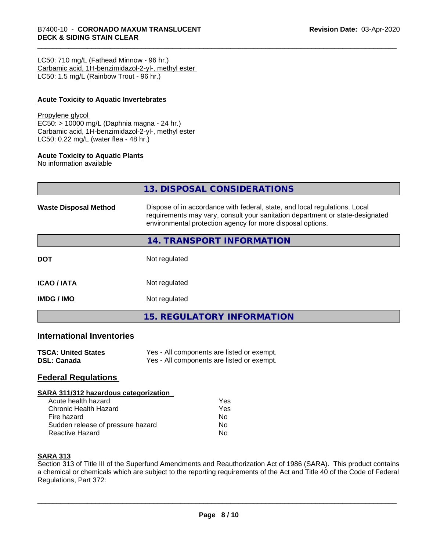LC50: 710 mg/L (Fathead Minnow - 96 hr.) Carbamic acid, 1H-benzimidazol-2-yl-, methyl ester LC50: 1.5 mg/L (Rainbow Trout - 96 hr.)

#### **Acute Toxicity to Aquatic Invertebrates**

#### Propylene glycol

EC50: > 10000 mg/L (Daphnia magna - 24 hr.) Carbamic acid, 1H-benzimidazol-2-yl-, methyl ester LC50: 0.22 mg/L (water flea - 48 hr.)

#### **Acute Toxicity to Aquatic Plants**

No information available

| 13. DISPOSAL CONSIDERATIONS |  |
|-----------------------------|--|
|                             |  |

| <b>Waste Disposal Method</b> | Dispose of in accordance with federal, state, and local regulations. Local<br>requirements may vary, consult your sanitation department or state-designated<br>environmental protection agency for more disposal options. |
|------------------------------|---------------------------------------------------------------------------------------------------------------------------------------------------------------------------------------------------------------------------|
|                              | 14. TRANSPORT INFORMATION                                                                                                                                                                                                 |
| <b>DOT</b>                   | Not regulated                                                                                                                                                                                                             |
| <b>ICAO/IATA</b>             | Not regulated                                                                                                                                                                                                             |
| <b>IMDG/IMO</b>              | Not regulated                                                                                                                                                                                                             |
|                              | 15. REGULATORY INFORMATION                                                                                                                                                                                                |

#### **International Inventories**

| <b>TSCA: United States</b> | Yes - All components are listed or exempt. |
|----------------------------|--------------------------------------------|
| <b>DSL: Canada</b>         | Yes - All components are listed or exempt. |

#### **Federal Regulations**

#### **SARA 311/312 hazardous categorization**

| Acute health hazard               | Yes |  |
|-----------------------------------|-----|--|
| Chronic Health Hazard             | Yes |  |
| Fire hazard                       | N٥  |  |
| Sudden release of pressure hazard | N٥  |  |
| <b>Reactive Hazard</b>            | N٥  |  |

#### **SARA 313**

Section 313 of Title III of the Superfund Amendments and Reauthorization Act of 1986 (SARA). This product contains a chemical or chemicals which are subject to the reporting requirements of the Act and Title 40 of the Code of Federal Regulations, Part 372: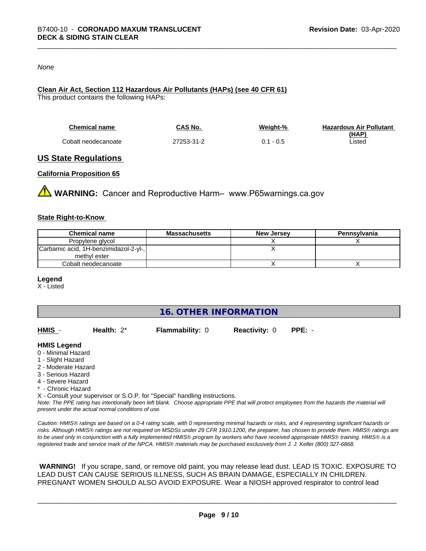#### *None*

#### **Clean Air Act,Section 112 Hazardous Air Pollutants (HAPs) (see 40 CFR 61)**

This product contains the following HAPs:

| <b>Chemical name</b> | CAS No.    | Weiaht-%    | <b>Hazardous Air Pollutant</b> |
|----------------------|------------|-------------|--------------------------------|
|                      |            |             | (HAP)                          |
| Cobalt neodecanoate  | 27253-31-2 | $0.1 - 0.5$ | ∟isted                         |

#### **US State Regulations**

#### **California Proposition 65**

**WARNING:** Cancer and Reproductive Harm– www.P65warnings.ca.gov

#### **State Right-to-Know**

| <b>Chemical name</b>                  | Massachusetts | <b>New Jersey</b> | Pennsylvania |
|---------------------------------------|---------------|-------------------|--------------|
| Propylene glycol                      |               |                   |              |
| Carbamic acid, 1H-benzimidazol-2-yl-, |               |                   |              |
| methyl ester                          |               |                   |              |
| Cobalt neodecanoate                   |               |                   |              |

#### **Legend**

X - Listed

**16. OTHER INFORMATION**

| HMIS | Health: $2^*$ | <b>Flammability: 0</b> | <b>Reactivity: 0</b> | PPE: - |
|------|---------------|------------------------|----------------------|--------|
|      |               |                        |                      |        |

#### **HMIS Legend**

- 0 Minimal Hazard
- 1 Slight Hazard
- 2 Moderate Hazard
- 3 Serious Hazard
- 4 Severe Hazard
- \* Chronic Hazard
- X Consult your supervisor or S.O.P. for "Special" handling instructions.

*Note: The PPE rating has intentionally been left blank. Choose appropriate PPE that will protect employees from the hazards the material will present under the actual normal conditions of use.*

*Caution: HMISÒ ratings are based on a 0-4 rating scale, with 0 representing minimal hazards or risks, and 4 representing significant hazards or risks. Although HMISÒ ratings are not required on MSDSs under 29 CFR 1910.1200, the preparer, has chosen to provide them. HMISÒ ratings are to be used only in conjunction with a fully implemented HMISÒ program by workers who have received appropriate HMISÒ training. HMISÒ is a registered trade and service mark of the NPCA. HMISÒ materials may be purchased exclusively from J. J. Keller (800) 327-6868.*

 **WARNING!** If you scrape, sand, or remove old paint, you may release lead dust. LEAD IS TOXIC. EXPOSURE TO LEAD DUST CAN CAUSE SERIOUS ILLNESS, SUCH AS BRAIN DAMAGE, ESPECIALLY IN CHILDREN. PREGNANT WOMEN SHOULD ALSO AVOID EXPOSURE.Wear a NIOSH approved respirator to control lead